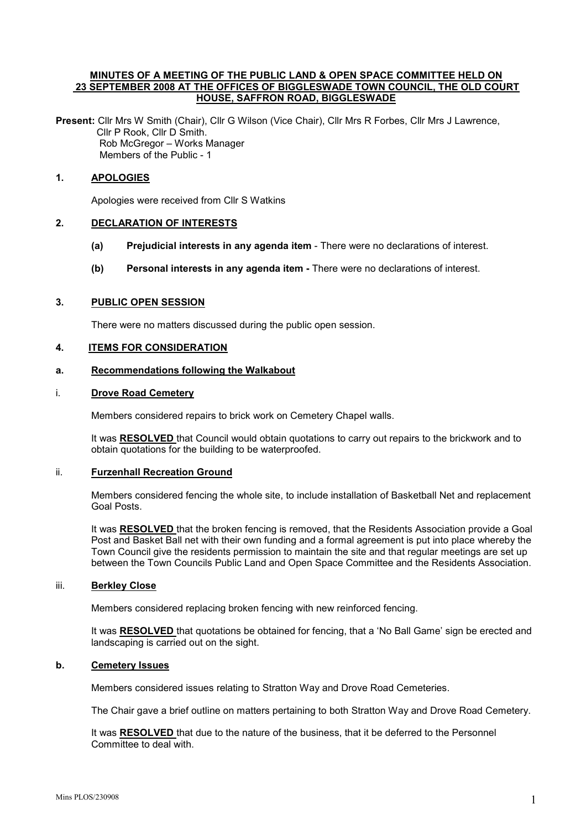#### MINUTES OF A MEETING OF THE PUBLIC LAND & OPEN SPACE COMMITTEE HELD ON 23 SEPTEMBER 2008 AT THE OFFICES OF BIGGLESWADE TOWN COUNCIL, THE OLD COURT HOUSE, SAFFRON ROAD, BIGGLESWADE

Present: Cllr Mrs W Smith (Chair), Cllr G Wilson (Vice Chair), Cllr Mrs R Forbes, Cllr Mrs J Lawrence, Cllr P Rook, Cllr D Smith. Rob McGregor – Works Manager Members of the Public - 1

## 1. APOLOGIES

Apologies were received from Cllr S Watkins

### 2. DECLARATION OF INTERESTS

- (a) Prejudicial interests in any agenda item There were no declarations of interest.
- (b) Personal interests in any agenda item There were no declarations of interest.

#### 3. PUBLIC OPEN SESSION

There were no matters discussed during the public open session.

## 4. ITEMS FOR CONSIDERATION

#### a. Recommendations following the Walkabout

#### i. Drove Road Cemetery

Members considered repairs to brick work on Cemetery Chapel walls.

It was RESOLVED that Council would obtain quotations to carry out repairs to the brickwork and to obtain quotations for the building to be waterproofed.

## ii. Furzenhall Recreation Ground

Members considered fencing the whole site, to include installation of Basketball Net and replacement Goal Posts.

It was RESOLVED that the broken fencing is removed, that the Residents Association provide a Goal Post and Basket Ball net with their own funding and a formal agreement is put into place whereby the Town Council give the residents permission to maintain the site and that regular meetings are set up between the Town Councils Public Land and Open Space Committee and the Residents Association.

#### iii. Berkley Close

Members considered replacing broken fencing with new reinforced fencing.

It was RESOLVED that quotations be obtained for fencing, that a 'No Ball Game' sign be erected and landscaping is carried out on the sight.

#### b. Cemetery Issues

Members considered issues relating to Stratton Way and Drove Road Cemeteries.

The Chair gave a brief outline on matters pertaining to both Stratton Way and Drove Road Cemetery.

It was RESOLVED that due to the nature of the business, that it be deferred to the Personnel Committee to deal with.